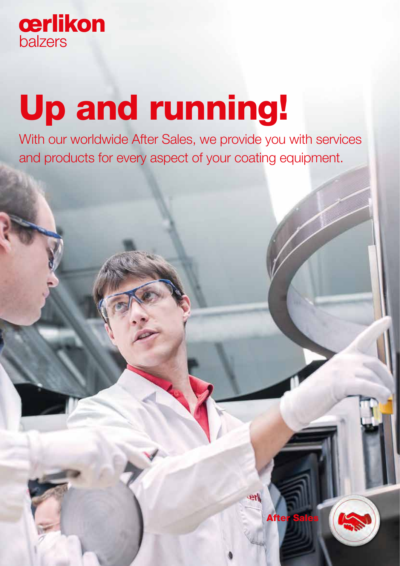

# Up and running!

With our worldwide After Sales, we provide you with services and products for every aspect of your coating equipment.



erl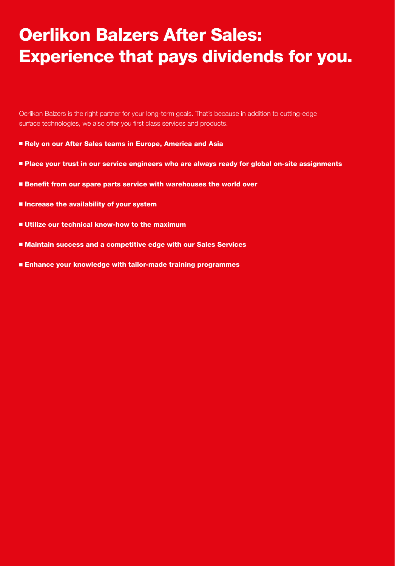### Oerlikon Balzers After Sales: Experience that pays dividends for you.

Oerlikon Balzers is the right partner for your long-term goals. That's because in addition to cutting-edge surface technologies, we also offer you first class services and products.

- Rely on our After Sales teams in Europe, America and Asia
- Place your trust in our service engineers who are always ready for global on-site assignments
- Benefit from our spare parts service with warehouses the world over
- Increase the availability of your system
- Utilize our technical know-how to the maximum
- Maintain success and a competitive edge with our Sales Services
- Enhance your knowledge with tailor-made training programmes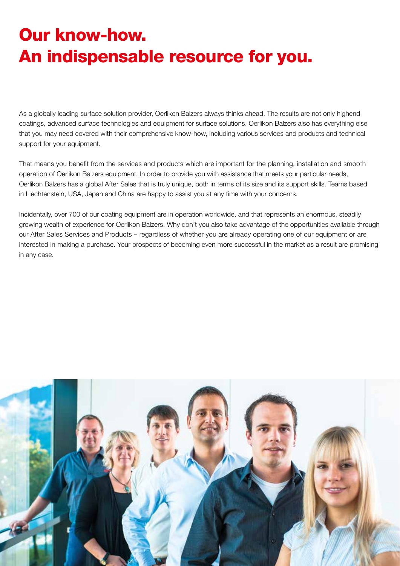# Our know-how. An indispensable resource for you.

As a globally leading surface solution provider, Oerlikon Balzers always thinks ahead. The results are not only highend coatings, advanced surface technologies and equipment for surface solutions. Oerlikon Balzers also has everything else that you may need covered with their comprehensive know-how, including various services and products and technical support for your equipment.

That means you benefit from the services and products which are important for the planning, installation and smooth operation of Oerlikon Balzers equipment. In order to provide you with assistance that meets your particular needs, Oerlikon Balzers has a global After Sales that is truly unique, both in terms of its size and its support skills. Teams based in Liechtenstein, USA, Japan and China are happy to assist you at any time with your concerns.

Incidentally, over 700 of our coating equipment are in operation worldwide, and that represents an enormous, steadily growing wealth of experience for Oerlikon Balzers. Why don't you also take advantage of the opportunities available through our After Sales Services and Products – regardless of whether you are already operating one of our equipment or are interested in making a purchase. Your prospects of becoming even more successful in the market as a result are promising in any case.

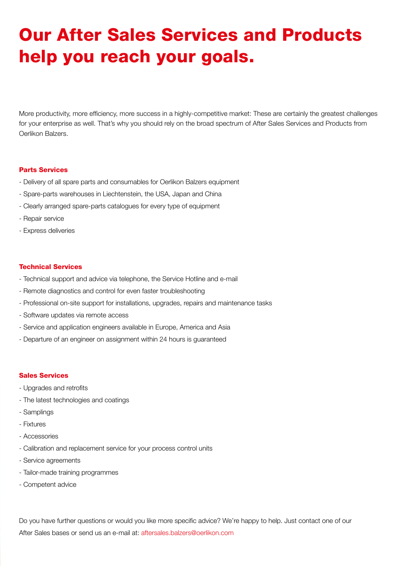# Our After Sales Services and Products help you reach your goals.

More productivity, more efficiency, more success in a highly-competitive market: These are certainly the greatest challenges for your enterprise as well. That's why you should rely on the broad spectrum of After Sales Services and Products from Oerlikon Balzers.

### Parts Services

- Delivery of all spare parts and consumables for Oerlikon Balzers equipment
- Spare-parts warehouses in Liechtenstein, the USA, Japan and China
- Clearly arranged spare-parts catalogues for every type of equipment
- Repair service
- Express deliveries

### Technical Services

- Technical support and advice via telephone, the Service Hotline and e-mail
- Remote diagnostics and control for even faster troubleshooting
- Professional on-site support for installations, upgrades, repairs and maintenance tasks
- Software updates via remote access
- Service and application engineers available in Europe, America and Asia
- Departure of an engineer on assignment within 24 hours is guaranteed

#### Sales Services

- Upgrades and retrofits
- The latest technologies and coatings
- Samplings
- Fixtures
- Accessories
- Calibration and replacement service for your process control units
- Service agreements
- Tailor-made training programmes
- Competent advice

Do you have further questions or would you like more specific advice? We're happy to help. Just contact one of our After Sales bases or send us an e-mail at: aftersales.balzers@oerlikon.com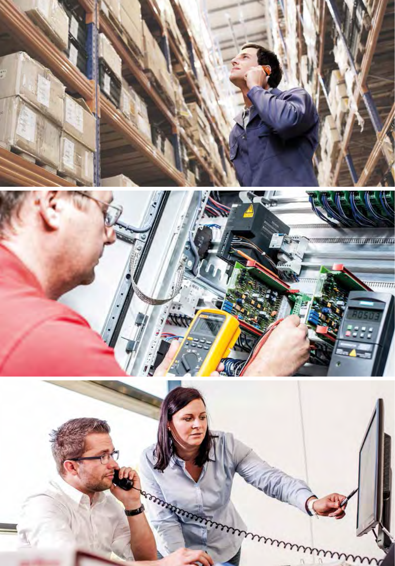